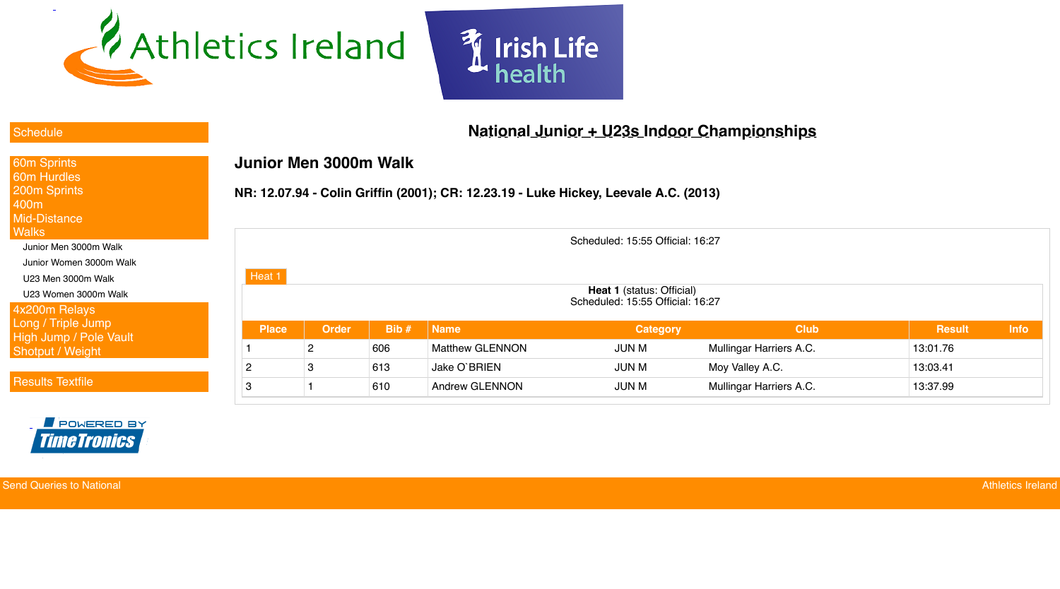

**Send Queries to National Athletics Ireland** Athletics Ireland





## **National Junior + U23s Indoor Championships**

# **Junior Men 3000m Walk**

#### **NR: 12.07.94 - Colin Griffin (2001); CR: 12.23.19 - Luke Hickey, Leevale A.C. (2013)**

| 60m Sprints                   |
|-------------------------------|
| 60m Hurdles                   |
| 200m Sprints                  |
| 400m                          |
| <b>Mid-Distance</b>           |
| Walks                         |
| Junior Men 3000m Walk         |
| Junior Women 3000m Walk       |
| U23 Men 3000m Walk            |
| U23 Women 3000m Walk          |
| 4x200m Relays                 |
| Long / Triple Jump            |
| <b>High Jump / Pole Vault</b> |
| <b>Shotput / Weight</b>       |
|                               |
|                               |

|                                                                                |                |       |                        | Scheduled: 15:55 Official: 16:27 |                                |               |             |  |  |  |
|--------------------------------------------------------------------------------|----------------|-------|------------------------|----------------------------------|--------------------------------|---------------|-------------|--|--|--|
| Heat 1<br><b>Heat 1</b> (status: Official)<br>Scheduled: 15:55 Official: 16:27 |                |       |                        |                                  |                                |               |             |  |  |  |
| <b>Place</b>                                                                   | <b>Order</b>   | Bib # | <b>Name</b>            | <b>Category</b>                  | <b>Club</b>                    | <b>Result</b> | <b>Info</b> |  |  |  |
|                                                                                | $\overline{2}$ | 606   | <b>Matthew GLENNON</b> | <b>JUN M</b>                     | <b>Mullingar Harriers A.C.</b> | 13:01.76      |             |  |  |  |
| 2                                                                              | 3              | 613   | <b>Jake O'BRIEN</b>    | <b>JUN M</b>                     | Moy Valley A.C.                | 13:03.41      |             |  |  |  |
| $\mathbf{3}$                                                                   |                | 610   | <b>Andrew GLENNON</b>  | <b>JUN M</b>                     | <b>Mullingar Harriers A.C.</b> | 13:37.99      |             |  |  |  |

#### **[Schedule](javascript:void();)**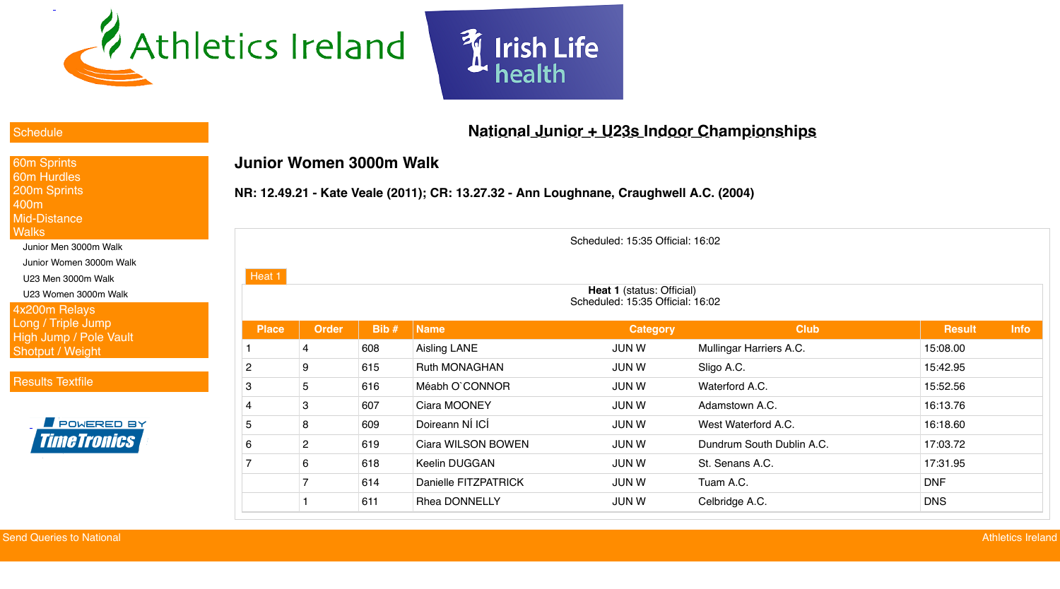





## **National Junior + U23s Indoor Championships**

#### **[Schedule](javascript:void();)**

## **Junior Women 3000m Walk**

#### **NR: 12.49.21 - Kate Veale (2011); CR: 13.27.32 - Ann Loughnane, Craughwell A.C. (2004)**

| 60m Sprints                   |
|-------------------------------|
| 60m Hurdles                   |
| 200m Sprints                  |
| 400m                          |
| Mid-Distance                  |
| Walks                         |
| Junior Men 3000m Walk         |
| Junior Women 3000m Walk       |
| U23 Men 3000m Walk            |
| U23 Women 3000m Walk          |
| 4x200m Relays                 |
| Long / Triple Jump            |
| <b>High Jump / Pole Vault</b> |
| <b>Shotput / Weight</b>       |
|                               |

|                |                |      |                           | Scheduled: 15:35 Official: 16:02                                     |                           |               |             |
|----------------|----------------|------|---------------------------|----------------------------------------------------------------------|---------------------------|---------------|-------------|
| Heat 1         |                |      |                           |                                                                      |                           |               |             |
|                |                |      |                           | <b>Heat 1 (status: Official)</b><br>Scheduled: 15:35 Official: 16:02 |                           |               |             |
| <b>Place</b>   | <b>Order</b>   | Bib# | <b>Name</b>               | <b>Category</b>                                                      | <b>Club</b>               | <b>Result</b> | <b>Info</b> |
|                | $\overline{4}$ | 608  | <b>Aisling LANE</b>       | <b>JUN W</b>                                                         | Mullingar Harriers A.C.   | 15:08.00      |             |
| $\overline{2}$ | 9              | 615  | <b>Ruth MONAGHAN</b>      | <b>JUN W</b>                                                         | Sligo A.C.                | 15:42.95      |             |
| 3              | 5              | 616  | Méabh O'CONNOR            | <b>JUN W</b>                                                         | Waterford A.C.            | 15:52.56      |             |
| 4              | 3              | 607  | <b>Ciara MOONEY</b>       | <b>JUN W</b>                                                         | Adamstown A.C.            | 16:13.76      |             |
| 5              | 8              | 609  | Doireann NÍ ICÍ           | <b>JUN W</b>                                                         | West Waterford A.C.       | 16:18.60      |             |
| 6              | $\overline{2}$ | 619  | <b>Ciara WILSON BOWEN</b> | <b>JUN W</b>                                                         | Dundrum South Dublin A.C. | 17:03.72      |             |
| $\overline{7}$ | 6              | 618  | <b>Keelin DUGGAN</b>      | <b>JUN W</b>                                                         | St. Senans A.C.           | 17:31.95      |             |
|                |                | 614  | Danielle FITZPATRICK      | <b>JUN W</b>                                                         | Tuam A.C.                 | <b>DNF</b>    |             |
|                |                | 611  | <b>Rhea DONNELLY</b>      | <b>JUN W</b>                                                         | Celbridge A.C.            | <b>DNS</b>    |             |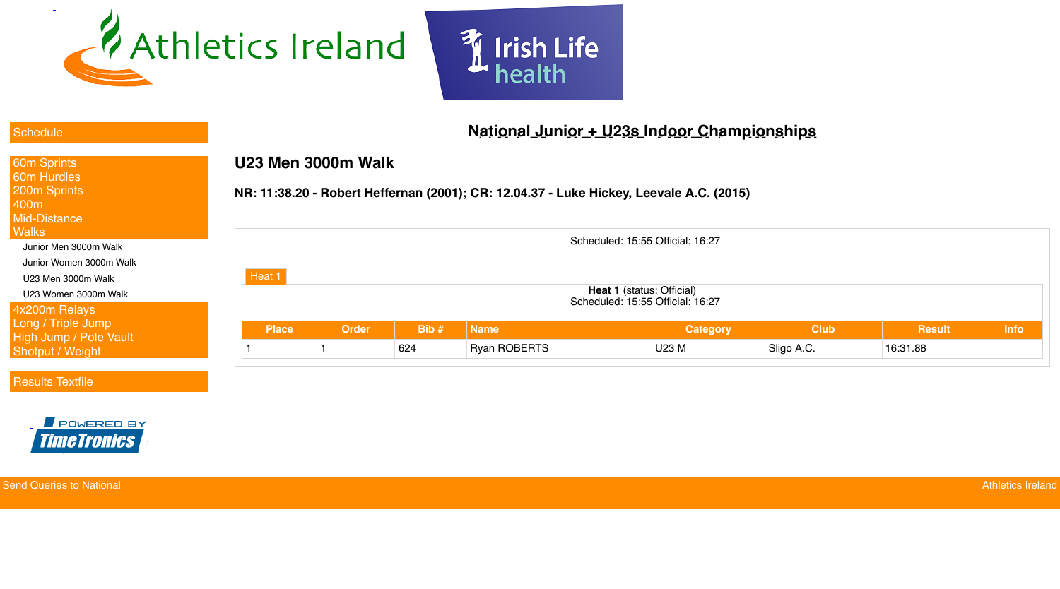

**Send Queries to National Athletics Ireland** Athletics Ireland





## **National Junior + U23s Indoor Championships**

#### **[Schedule](javascript:void();)**

## **U23 Men 3000m Walk**

#### **NR: 11:38.20 - Robert Heffernan (2001); CR: 12.04.37 - Luke Hickey, Leevale A.C. (2015)**

| <b>60m Sprints</b>            |
|-------------------------------|
| 60m Hurdles                   |
| <b>200m Sprints</b>           |
| 400m                          |
| <b>Mid-Distance</b>           |
| <b>Walks</b>                  |
| Junior Men 3000m Walk         |
| Junior Women 3000m Walk       |
| U23 Men 3000m Walk            |
| U23 Women 3000m Walk          |
| 4x200m Relays                 |
| Long / Triple Jump            |
| <b>High Jump / Pole Vault</b> |
| <b>Shotput / Weight</b>       |
|                               |

| Scheduled: 15:55 Official: 16:27 |                                                                      |         |                     |                 |             |               |             |  |
|----------------------------------|----------------------------------------------------------------------|---------|---------------------|-----------------|-------------|---------------|-------------|--|
| Heat $1$                         | <b>Heat 1 (status: Official)</b><br>Scheduled: 15:55 Official: 16:27 |         |                     |                 |             |               |             |  |
| <b>Place</b>                     | <b>Order</b>                                                         | Bib $#$ | <b>Name</b>         | <b>Category</b> | <b>Club</b> | <b>Result</b> | <b>Info</b> |  |
|                                  |                                                                      | 624     | <b>Ryan ROBERTS</b> | <b>U23 M</b>    | Sligo A.C.  | 16:31.88      |             |  |